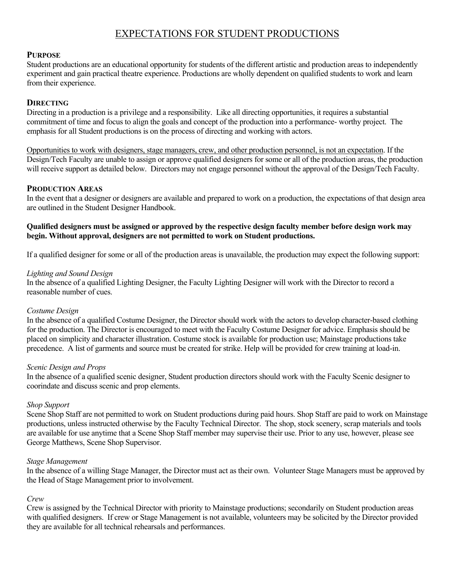# EXPECTATIONS FOR STUDENT PRODUCTIONS

# **PURPOSE**

Student productions are an educational opportunity for students of the different artistic and production areas to independently experiment and gain practical theatre experience. Productions are wholly dependent on qualified students to work and learn from their experience.

# **DIRECTING**

Directing in a production is a privilege and a responsibility. Like all directing opportunities, it requires a substantial commitment of time and focus to align the goals and concept of the production into a performance- worthy project. The emphasis for all Student productions is on the process of directing and working with actors.

Opportunities to work with designers, stage managers, crew, and other production personnel, is not an expectation. If the Design/Tech Faculty are unable to assign or approve qualified designers for some or all of the production areas, the production will receive support as detailed below. Directors may not engage personnel without the approval of the Design/Tech Faculty.

# **PRODUCTION AREAS**

In the event that a designer or designers are available and prepared to work on a production, the expectations of that design area are outlined in the Student Designer Handbook.

# **Qualified designers must be assigned or approved by the respective design faculty member before design work may begin. Without approval, designers are not permitted to work on Student productions.**

If a qualified designer for some or all of the production areas is unavailable, the production may expect the following support:

#### *Lighting and Sound Design*

In the absence of a qualified Lighting Designer, the Faculty Lighting Designer will work with the Director to record a reasonable number of cues.

#### *Costume Design*

In the absence of a qualified Costume Designer, the Director should work with the actors to develop character-based clothing for the production. The Director is encouraged to meet with the Faculty Costume Designer for advice. Emphasis should be placed on simplicity and character illustration. Costume stock is available for production use; Mainstage productions take precedence. A list of garments and source must be created for strike. Help will be provided for crew training at load-in.

#### *Scenic Design and Props*

In the absence of a qualified scenic designer, Student production directors should work with the Faculty Scenic designer to coorindate and discuss scenic and prop elements.

#### *Shop Support*

Scene Shop Staff are not permitted to work on Student productions during paid hours. Shop Staff are paid to work on Mainstage productions, unless instructed otherwise by the Faculty Technical Director. The shop, stock scenery, scrap materials and tools are available for use anytime that a Scene Shop Staff member may supervise their use. Prior to any use, however, please see George Matthews, Scene Shop Supervisor.

#### *Stage Management*

In the absence of a willing Stage Manager, the Director must act as their own. Volunteer Stage Managers must be approved by the Head of Stage Management prior to involvement.

#### *Crew*

Crew is assigned by the Technical Director with priority to Mainstage productions; secondarily on Student production areas with qualified designers. If crew or Stage Management is not available, volunteers may be solicited by the Director provided they are available for all technical rehearsals and performances.